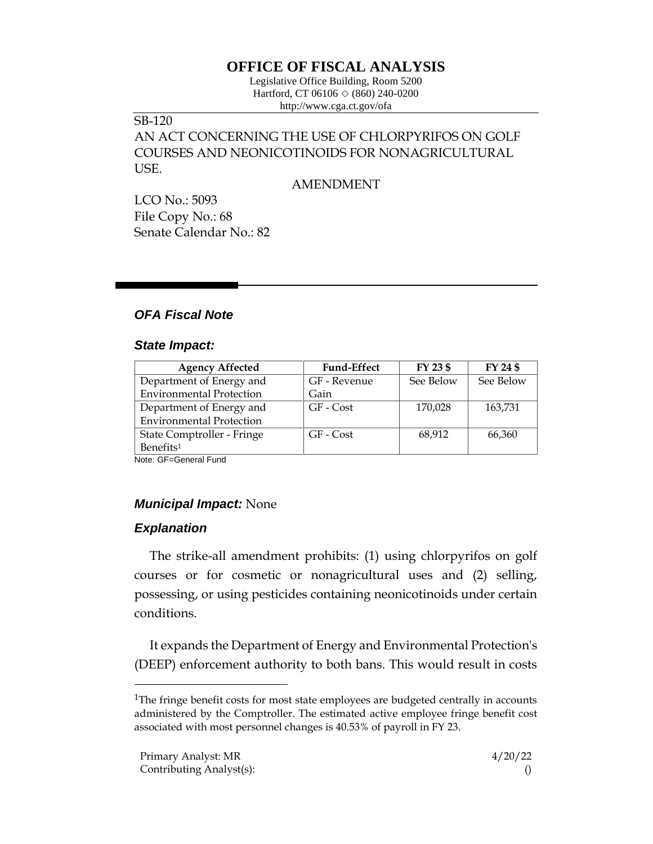# **OFFICE OF FISCAL ANALYSIS**

Legislative Office Building, Room 5200 Hartford, CT 06106  $\Diamond$  (860) 240-0200 http://www.cga.ct.gov/ofa

## SB-120

AN ACT CONCERNING THE USE OF CHLORPYRIFOS ON GOLF COURSES AND NEONICOTINOIDS FOR NONAGRICULTURAL USE.

AMENDMENT

LCO No.: 5093 File Copy No.: 68 Senate Calendar No.: 82

## *OFA Fiscal Note*

#### *State Impact:*

| <b>Agency Affected</b>          | <b>Fund-Effect</b> | FY 23 \$  | FY 24 \$  |
|---------------------------------|--------------------|-----------|-----------|
| Department of Energy and        | GF - Revenue       | See Below | See Below |
| <b>Environmental Protection</b> | Gain               |           |           |
| Department of Energy and        | GF - Cost          | 170,028   | 163,731   |
| <b>Environmental Protection</b> |                    |           |           |
| State Comptroller - Fringe      | GF - Cost          | 68,912    | 66,360    |
| Benefits <sup>1</sup>           |                    |           |           |

Note: GF=General Fund

## *Municipal Impact:* None

### *Explanation*

The strike-all amendment prohibits: (1) using chlorpyrifos on golf courses or for cosmetic or nonagricultural uses and (2) selling, possessing, or using pesticides containing neonicotinoids under certain conditions.

It expands the Department of Energy and Environmental Protection's (DEEP) enforcement authority to both bans. This would result in costs

<sup>&</sup>lt;sup>1</sup>The fringe benefit costs for most state employees are budgeted centrally in accounts administered by the Comptroller. The estimated active employee fringe benefit cost associated with most personnel changes is 40.53% of payroll in FY 23.